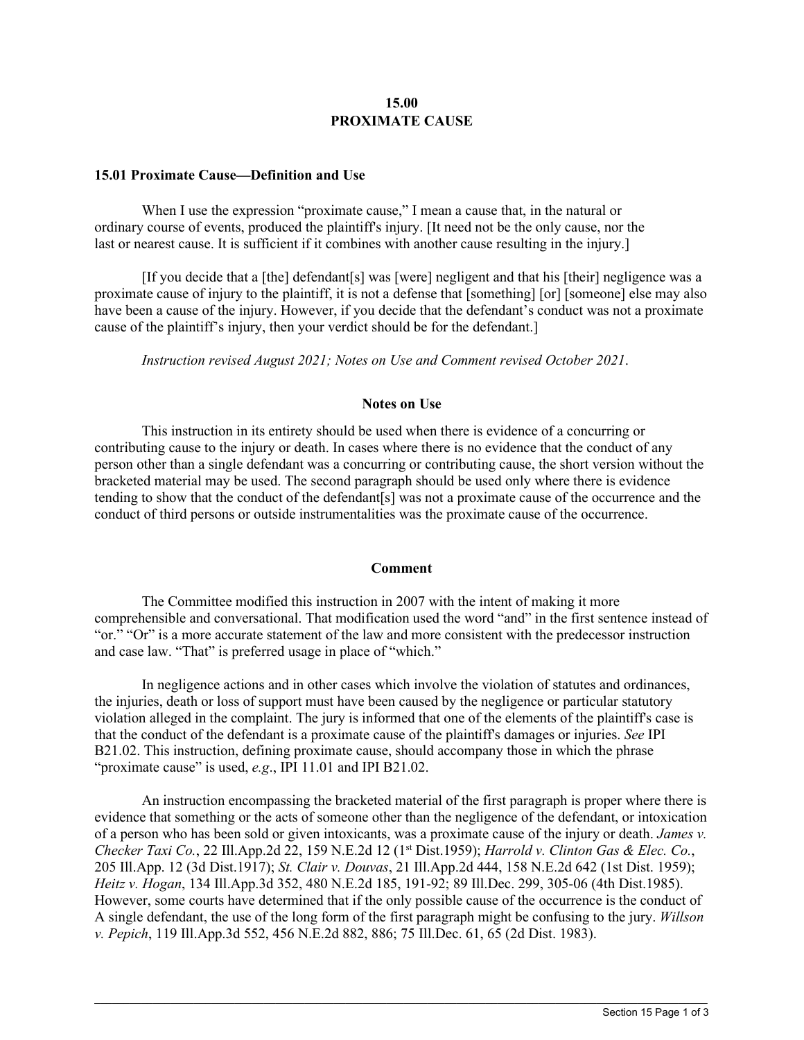## **15.00 PROXIMATE CAUSE**

## **15.01 Proximate Cause—Definition and Use**

When I use the expression "proximate cause," I mean a cause that, in the natural or ordinary course of events, produced the plaintiff's injury. [It need not be the only cause, nor the last or nearest cause. It is sufficient if it combines with another cause resulting in the injury.]

[If you decide that a [the] defendant[s] was [were] negligent and that his [their] negligence was a proximate cause of injury to the plaintiff, it is not a defense that [something] [or] [someone] else may also have been a cause of the injury. However, if you decide that the defendant's conduct was not a proximate cause of the plaintiff's injury, then your verdict should be for the defendant.]

*Instruction revised August 2021; Notes on Use and Comment revised October 2021*.

## **Notes on Use**

This instruction in its entirety should be used when there is evidence of a concurring or contributing cause to the injury or death. In cases where there is no evidence that the conduct of any person other than a single defendant was a concurring or contributing cause, the short version without the bracketed material may be used. The second paragraph should be used only where there is evidence tending to show that the conduct of the defendant[s] was not a proximate cause of the occurrence and the conduct of third persons or outside instrumentalities was the proximate cause of the occurrence.

## **Comment**

The Committee modified this instruction in 2007 with the intent of making it more comprehensible and conversational. That modification used the word "and" in the first sentence instead of "or." "Or" is a more accurate statement of the law and more consistent with the predecessor instruction and case law. "That" is preferred usage in place of "which."

In negligence actions and in other cases which involve the violation of statutes and ordinances, the injuries, death or loss of support must have been caused by the negligence or particular statutory violation alleged in the complaint. The jury is informed that one of the elements of the plaintiff's case is that the conduct of the defendant is a proximate cause of the plaintiff's damages or injuries. *See* IPI B21.02. This instruction, defining proximate cause, should accompany those in which the phrase "proximate cause" is used, *e.g*., IPI 11.01 and IPI B21.02.

An instruction encompassing the bracketed material of the first paragraph is proper where there is evidence that something or the acts of someone other than the negligence of the defendant, or intoxication of a person who has been sold or given intoxicants, was a proximate cause of the injury or death. *James v. Checker Taxi Co.*, 22 Ill.App.2d 22, 159 N.E.2d 12 (1st Dist.1959); *Harrold v. Clinton Gas & Elec. Co.*, 205 Ill.App. 12 (3d Dist.1917); *St. Clair v. Douvas*, 21 Ill.App.2d 444, 158 N.E.2d 642 (1st Dist. 1959); *Heitz v. Hogan*, 134 Ill.App.3d 352, 480 N.E.2d 185, 191-92; 89 Ill.Dec. 299, 305-06 (4th Dist.1985). However, some courts have determined that if the only possible cause of the occurrence is the conduct of A single defendant, the use of the long form of the first paragraph might be confusing to the jury. *Willson v. Pepich*, 119 Ill.App.3d 552, 456 N.E.2d 882, 886; 75 Ill.Dec. 61, 65 (2d Dist. 1983).

 $\_$  ,  $\_$  ,  $\_$  ,  $\_$  ,  $\_$  ,  $\_$  ,  $\_$  ,  $\_$  ,  $\_$  ,  $\_$  ,  $\_$  ,  $\_$  ,  $\_$  ,  $\_$  ,  $\_$  ,  $\_$  ,  $\_$  ,  $\_$  ,  $\_$  ,  $\_$  ,  $\_$  ,  $\_$  ,  $\_$  ,  $\_$  ,  $\_$  ,  $\_$  ,  $\_$  ,  $\_$  ,  $\_$  ,  $\_$  ,  $\_$  ,  $\_$  ,  $\_$  ,  $\_$  ,  $\_$  ,  $\_$  ,  $\_$  ,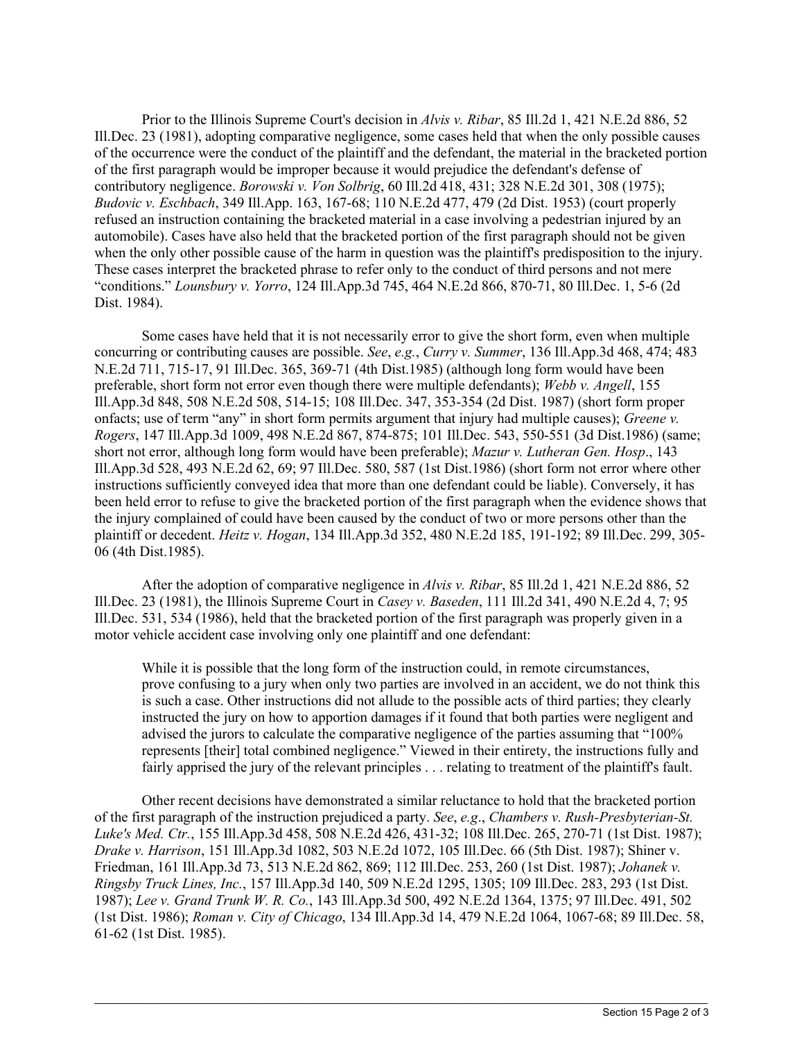Prior to the Illinois Supreme Court's decision in *Alvis v. Ribar*, 85 Ill.2d 1, 421 N.E.2d 886, 52 Ill.Dec. 23 (1981), adopting comparative negligence, some cases held that when the only possible causes of the occurrence were the conduct of the plaintiff and the defendant, the material in the bracketed portion of the first paragraph would be improper because it would prejudice the defendant's defense of contributory negligence. *Borowski v. Von Solbrig*, 60 Ill.2d 418, 431; 328 N.E.2d 301, 308 (1975); *Budovic v. Eschbach*, 349 Ill.App. 163, 167-68; 110 N.E.2d 477, 479 (2d Dist. 1953) (court properly refused an instruction containing the bracketed material in a case involving a pedestrian injured by an automobile). Cases have also held that the bracketed portion of the first paragraph should not be given when the only other possible cause of the harm in question was the plaintiff's predisposition to the injury. These cases interpret the bracketed phrase to refer only to the conduct of third persons and not mere "conditions." *Lounsbury v. Yorro*, 124 Ill.App.3d 745, 464 N.E.2d 866, 870-71, 80 Ill.Dec. 1, 5-6 (2d Dist. 1984).

Some cases have held that it is not necessarily error to give the short form, even when multiple concurring or contributing causes are possible. *See*, *e.g.*, *Curry v. Summer*, 136 Ill.App.3d 468, 474; 483 N.E.2d 711, 715-17, 91 Ill.Dec. 365, 369-71 (4th Dist.1985) (although long form would have been preferable, short form not error even though there were multiple defendants); *Webb v. Angell*, 155 Ill.App.3d 848, 508 N.E.2d 508, 514-15; 108 Ill.Dec. 347, 353-354 (2d Dist. 1987) (short form proper onfacts; use of term "any" in short form permits argument that injury had multiple causes); *Greene v. Rogers*, 147 Ill.App.3d 1009, 498 N.E.2d 867, 874-875; 101 Ill.Dec. 543, 550-551 (3d Dist.1986) (same; short not error, although long form would have been preferable); *Mazur v. Lutheran Gen. Hosp*., 143 Ill.App.3d 528, 493 N.E.2d 62, 69; 97 Ill.Dec. 580, 587 (1st Dist.1986) (short form not error where other instructions sufficiently conveyed idea that more than one defendant could be liable). Conversely, it has been held error to refuse to give the bracketed portion of the first paragraph when the evidence shows that the injury complained of could have been caused by the conduct of two or more persons other than the plaintiff or decedent. *Heitz v. Hogan*, 134 Ill.App.3d 352, 480 N.E.2d 185, 191-192; 89 Ill.Dec. 299, 305- 06 (4th Dist.1985).

After the adoption of comparative negligence in *Alvis v. Ribar*, 85 Ill.2d 1, 421 N.E.2d 886, 52 Ill.Dec. 23 (1981), the Illinois Supreme Court in *Casey v. Baseden*, 111 Ill.2d 341, 490 N.E.2d 4, 7; 95 Ill.Dec. 531, 534 (1986), held that the bracketed portion of the first paragraph was properly given in a motor vehicle accident case involving only one plaintiff and one defendant:

While it is possible that the long form of the instruction could, in remote circumstances, prove confusing to a jury when only two parties are involved in an accident, we do not think this is such a case. Other instructions did not allude to the possible acts of third parties; they clearly instructed the jury on how to apportion damages if it found that both parties were negligent and advised the jurors to calculate the comparative negligence of the parties assuming that "100% represents [their] total combined negligence." Viewed in their entirety, the instructions fully and fairly apprised the jury of the relevant principles . . . relating to treatment of the plaintiff's fault.

Other recent decisions have demonstrated a similar reluctance to hold that the bracketed portion of the first paragraph of the instruction prejudiced a party. *See*, *e.g*., *Chambers v. Rush-Presbyterian-St. Luke's Med. Ctr.*, 155 Ill.App.3d 458, 508 N.E.2d 426, 431-32; 108 Ill.Dec. 265, 270-71 (1st Dist. 1987); *Drake v. Harrison*, 151 Ill.App.3d 1082, 503 N.E.2d 1072, 105 Ill.Dec. 66 (5th Dist. 1987); Shiner v. Friedman, 161 Ill.App.3d 73, 513 N.E.2d 862, 869; 112 Ill.Dec. 253, 260 (1st Dist. 1987); *Johanek v. Ringsby Truck Lines, Inc.*, 157 Ill.App.3d 140, 509 N.E.2d 1295, 1305; 109 Ill.Dec. 283, 293 (1st Dist. 1987); *Lee v. Grand Trunk W. R. Co.*, 143 Ill.App.3d 500, 492 N.E.2d 1364, 1375; 97 Ill.Dec. 491, 502 (1st Dist. 1986); *Roman v. City of Chicago*, 134 Ill.App.3d 14, 479 N.E.2d 1064, 1067-68; 89 Ill.Dec. 58, 61-62 (1st Dist. 1985).

 $\_$  ,  $\_$  ,  $\_$  ,  $\_$  ,  $\_$  ,  $\_$  ,  $\_$  ,  $\_$  ,  $\_$  ,  $\_$  ,  $\_$  ,  $\_$  ,  $\_$  ,  $\_$  ,  $\_$  ,  $\_$  ,  $\_$  ,  $\_$  ,  $\_$  ,  $\_$  ,  $\_$  ,  $\_$  ,  $\_$  ,  $\_$  ,  $\_$  ,  $\_$  ,  $\_$  ,  $\_$  ,  $\_$  ,  $\_$  ,  $\_$  ,  $\_$  ,  $\_$  ,  $\_$  ,  $\_$  ,  $\_$  ,  $\_$  ,